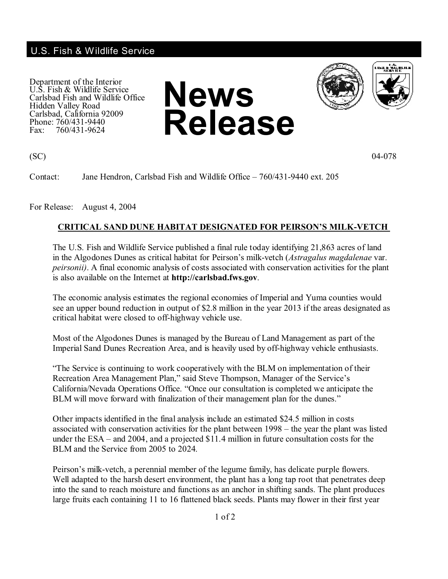## U.S. Fish & Wildlife Service

Department of the Interior U.S. Fish & Wildlife Service Carlsbad Fish and Wildlife Office Hidden Valley Road Carlsbad, California 92009 Phone: 760/431-9440<br>Fax: 760/431-9624 Fax: 760/431-9624



 $(SC)$  04-078

Contact: Jane Hendron, Carlsbad Fish and Wildlife Office – 760/431-9440 ext. 205

For Release: August 4, 2004

## **CRITICAL SAND DUNE HABITAT DESIGNATED FOR PEIRSON'S MILK-VETCH**

The U.S. Fish and Wildlife Service published a final rule today identifying 21,863 acres of land in the Algodones Dunes as critical habitat for Peirson's milk-vetch (*Astragalus magdalenae* var. *peirsonii)*. A final economic analysis of costs associated with conservation activities for the plant is also available on the Internet at **http://carlsbad.fws.gov**.

The economic analysis estimates the regional economies of Imperial and Yuma counties would see an upper bound reduction in output of \$2.8 million in the year 2013 if the areas designated as critical habitat were closed to off-highway vehicle use.

Most of the Algodones Dunes is managed by the Bureau of Land Management as part of the Imperial Sand Dunes Recreation Area, and is heavily used by off-highway vehicle enthusiasts.

"The Service is continuing to work cooperatively with the BLM on implementation of their Recreation Area Management Plan," said Steve Thompson, Manager of the Service's California/Nevada Operations Office. "Once our consultation is completed we anticipate the BLM will move forward with finalization of their management plan for the dunes."

Other impacts identified in the final analysis include an estimated \$24.5 million in costs associated with conservation activities for the plant between 1998 – the year the plant was listed under the ESA – and 2004, and a projected \$11.4 million in future consultation costs for the BLM and the Service from 2005 to 2024.

Peirson's milk-vetch, a perennial member of the legume family, has delicate purple flowers. Well adapted to the harsh desert environment, the plant has a long tap root that penetrates deep into the sand to reach moisture and functions as an anchor in shifting sands. The plant produces large fruits each containing 11 to 16 flattened black seeds. Plants may flower in their first year